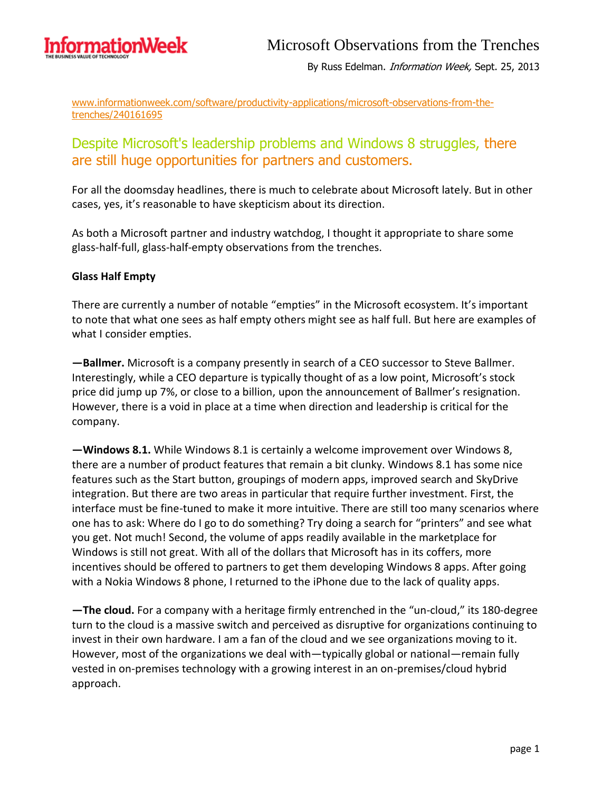

By Russ Edelman. Information Week, Sept. 25, 2013

www.informationweek.com/software/productivity-applications/microsoft-observations-from-thetrenches/240161695

## Despite Microsoft's leadership problems and Windows 8 struggles, there are still huge opportunities for partners and customers.

For all the doomsday headlines, there is much to celebrate about Microsoft lately. But in other cases, yes, it's reasonable to have skepticism about its direction.

As both a Microsoft partner and industry watchdog, I thought it appropriate to share some glass-half-full, glass-half-empty observations from the trenches.

## **Glass Half Empty**

There are currently a number of notable "empties" in the Microsoft ecosystem. It's important to note that what one sees as half empty others might see as half full. But here are examples of what I consider empties.

**—Ballmer.** Microsoft is a company presently in search of a CEO successor to Steve Ballmer. Interestingly, while a CEO departure is typically thought of as a low point, Microsoft's stock price did jump up 7%, or close to a billion, upon the announcement of Ballmer's resignation. However, there is a void in place at a time when direction and leadership is critical for the company.

**—Windows 8.1.** While Windows 8.1 is certainly a welcome improvement over Windows 8, there are a number of product features that remain a bit clunky. Windows 8.1 has some nice features such as the Start button, groupings of modern apps, improved search and SkyDrive integration. But there are two areas in particular that require further investment. First, the interface must be fine-tuned to make it more intuitive. There are still too many scenarios where one has to ask: Where do I go to do something? Try doing a search for "printers" and see what you get. Not much! Second, the volume of apps readily available in the marketplace for Windows is still not great. With all of the dollars that Microsoft has in its coffers, more incentives should be offered to partners to get them developing Windows 8 apps. After going with a Nokia Windows 8 phone, I returned to the iPhone due to the lack of quality apps.

**—The cloud.** For a company with a heritage firmly entrenched in the "un-cloud," its 180-degree turn to the cloud is a massive switch and perceived as disruptive for organizations continuing to invest in their own hardware. I am a fan of the cloud and we see organizations moving to it. However, most of the organizations we deal with—typically global or national—remain fully vested in on-premises technology with a growing interest in an on-premises/cloud hybrid approach.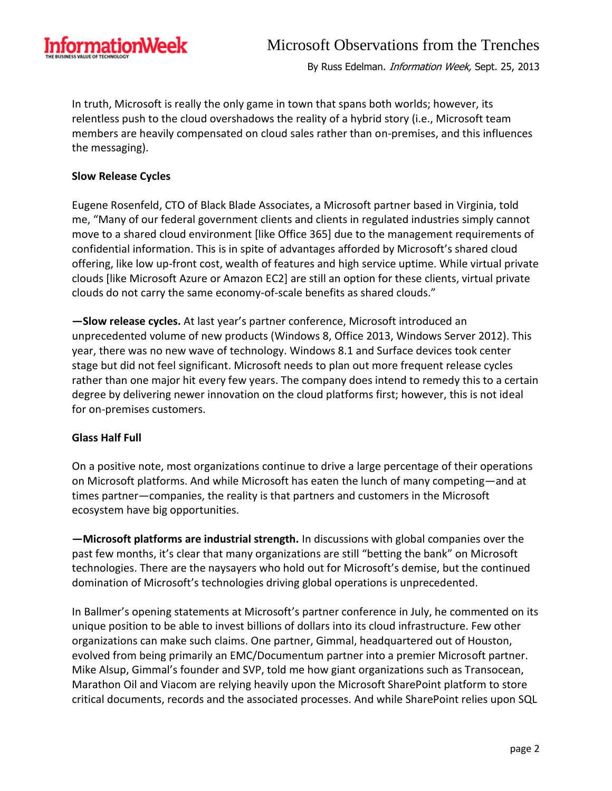

By Russ Edelman. Information Week, Sept. 25, 2013

In truth, Microsoft is really the only game in town that spans both worlds; however, its relentless push to the cloud overshadows the reality of a hybrid story (i.e., Microsoft team members are heavily compensated on cloud sales rather than on-premises, and this influences the messaging).

## **Slow Release Cycles**

Eugene Rosenfeld, CTO of Black Blade Associates, a Microsoft partner based in Virginia, told me, "Many of our federal government clients and clients in regulated industries simply cannot move to a shared cloud environment [like Office 365] due to the management requirements of confidential information. This is in spite of advantages afforded by Microsoft's shared cloud offering, like low up-front cost, wealth of features and high service uptime. While virtual private clouds [like Microsoft Azure or Amazon EC2] are still an option for these clients, virtual private clouds do not carry the same economy-of-scale benefits as shared clouds."

**—Slow release cycles.** At last year's partner conference, Microsoft introduced an unprecedented volume of new products (Windows 8, Office 2013, Windows Server 2012). This year, there was no new wave of technology. Windows 8.1 and Surface devices took center stage but did not feel significant. Microsoft needs to plan out more frequent release cycles rather than one major hit every few years. The company does intend to remedy this to a certain degree by delivering newer innovation on the cloud platforms first; however, this is not ideal for on-premises customers.

## **Glass Half Full**

On a positive note, most organizations continue to drive a large percentage of their operations on Microsoft platforms. And while Microsoft has eaten the lunch of many competing—and at times partner—companies, the reality is that partners and customers in the Microsoft ecosystem have big opportunities.

**—Microsoft platforms are industrial strength.** In discussions with global companies over the past few months, it's clear that many organizations are still "betting the bank" on Microsoft technologies. There are the naysayers who hold out for Microsoft's demise, but the continued domination of Microsoft's technologies driving global operations is unprecedented.

In Ballmer's opening statements at Microsoft's partner conference in July, he commented on its unique position to be able to invest billions of dollars into its cloud infrastructure. Few other organizations can make such claims. One partner, Gimmal, headquartered out of Houston, evolved from being primarily an EMC/Documentum partner into a premier Microsoft partner. Mike Alsup, Gimmal's founder and SVP, told me how giant organizations such as Transocean, Marathon Oil and Viacom are relying heavily upon the Microsoft SharePoint platform to store critical documents, records and the associated processes. And while SharePoint relies upon SQL